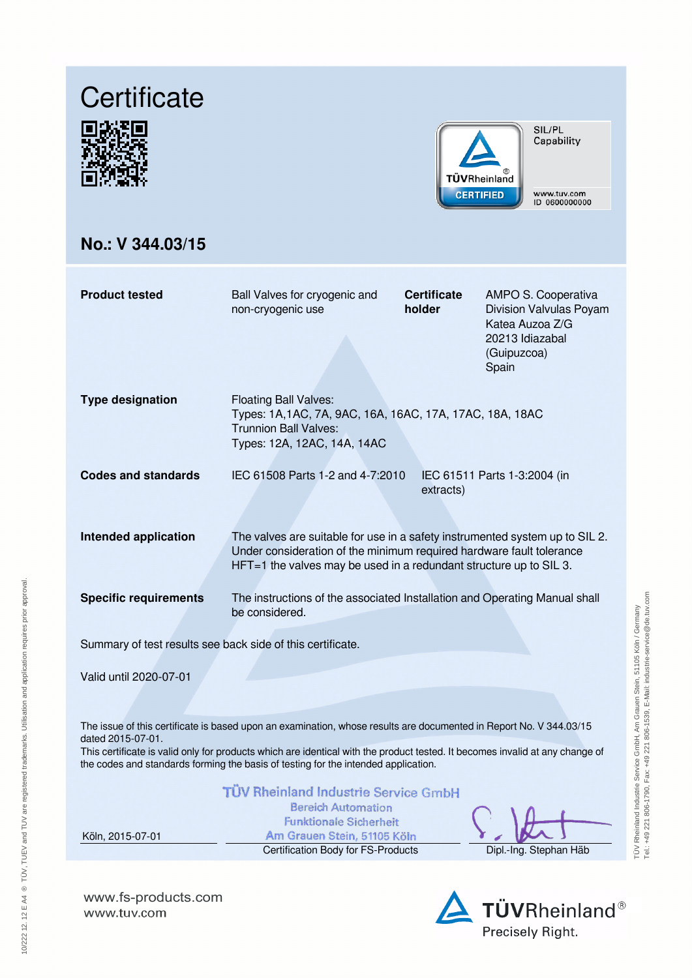# **Certificate**





SIL/PL Capability

www.tuv.com<br>ID 0600000000

## **No.: V 344.03/15**

| <b>Product tested</b>                                                                                                                                                                                                                                                                                                                                         | Ball Valves for cryogenic and<br>non-cryogenic use                                                                                                                                                                         | <b>Certificate</b><br>holder | AMPO S. Cooperativa<br>Division Valvulas Poyam<br>Katea Auzoa Z/G<br>20213 Idiazabal<br>(Guipuzcoa)<br>Spain |  |  |  |  |
|---------------------------------------------------------------------------------------------------------------------------------------------------------------------------------------------------------------------------------------------------------------------------------------------------------------------------------------------------------------|----------------------------------------------------------------------------------------------------------------------------------------------------------------------------------------------------------------------------|------------------------------|--------------------------------------------------------------------------------------------------------------|--|--|--|--|
| <b>Type designation</b>                                                                                                                                                                                                                                                                                                                                       | <b>Floating Ball Valves:</b><br>Types: 1A, 1AC, 7A, 9AC, 16A, 16AC, 17A, 17AC, 18A, 18AC<br><b>Trunnion Ball Valves:</b><br>Types: 12A, 12AC, 14A, 14AC                                                                    |                              |                                                                                                              |  |  |  |  |
| <b>Codes and standards</b>                                                                                                                                                                                                                                                                                                                                    | IEC 61508 Parts 1-2 and 4-7:2010                                                                                                                                                                                           | extracts)                    | IEC 61511 Parts 1-3:2004 (in                                                                                 |  |  |  |  |
| <b>Intended application</b>                                                                                                                                                                                                                                                                                                                                   | The valves are suitable for use in a safety instrumented system up to SIL 2.<br>Under consideration of the minimum required hardware fault tolerance<br>HFT=1 the valves may be used in a redundant structure up to SIL 3. |                              |                                                                                                              |  |  |  |  |
| <b>Specific requirements</b>                                                                                                                                                                                                                                                                                                                                  | The instructions of the associated Installation and Operating Manual shall<br>be considered.                                                                                                                               |                              |                                                                                                              |  |  |  |  |
| Summary of test results see back side of this certificate.                                                                                                                                                                                                                                                                                                    |                                                                                                                                                                                                                            |                              |                                                                                                              |  |  |  |  |
| Valid until 2020-07-01                                                                                                                                                                                                                                                                                                                                        |                                                                                                                                                                                                                            |                              |                                                                                                              |  |  |  |  |
| The issue of this certificate is based upon an examination, whose results are documented in Report No. V 344.03/15<br>dated 2015-07-01.<br>This certificate is valid only for products which are identical with the product tested. It becomes invalid at any change of<br>the codes and standards forming the basis of testing for the intended application. |                                                                                                                                                                                                                            |                              |                                                                                                              |  |  |  |  |
| Köln, 2015-07-01                                                                                                                                                                                                                                                                                                                                              | <b>TÜV Rheinland Industrie Service GmbH</b><br><b>Bereich Automation</b><br><b>Funktionale Sicherheit</b><br>Am Grauen Stein, 51105 Köln                                                                                   |                              |                                                                                                              |  |  |  |  |

Certification Body for FS-Products Dipl.-Ing. Stephan Häb

а **D** D  $\epsilon$ 

TÜV Rheinland Industrie Service GmbH, Am Grauen Stein, 51105 Köln / Germany Tel.: +49 221 806-1790, Fax: +49 221 806-1539, E-Mail: industrie-service@de.tuv.com

TÜV Rheinland Industrie Service GmbH, Am Grauen Stein, 51105 Köln / Germany<br>Tel: +49 221 806-1790, Fax: +49 221 806-1539, E-Mali: industrie-service@de.tuv.com